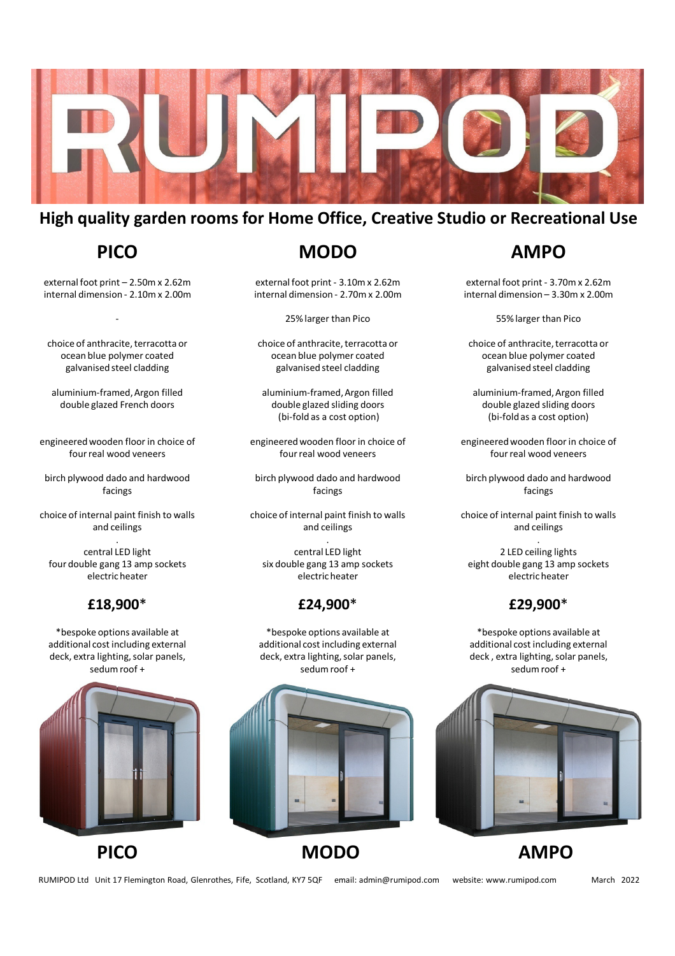

# **High quality garden rooms for Home Office, Creative Studio or Recreational Use**

# **PICO**

external foot print – 2.50m x 2.62m internal dimension - 2.10m x 2.00m

-

choice of anthracite, terracotta or ocean blue polymer coated galvanised steel cladding

aluminium-framed, Argon filled double glazed French doors

engineered wooden floor in choice of four real wood veneers

birch plywood dado and hardwood facings

choice of internal paint finish to walls and ceilings

. central LED light four double gang 13 amp sockets electric heater

### **£18,900**\*

\*bespoke options available at additional cost including external deck, extra lighting, solar panels, sedum roof +





**MODO**

external foot print - 3.10m x 2.62m internal dimension - 2.70m x 2.00m

25% larger than Pico

choice of anthracite, terracotta or ocean blue polymer coated galvanised steel cladding

aluminium-framed, Argon filled double glazed sliding doors (bi-fold as a cost option)

engineered wooden floor in choice of four real wood veneers

birch plywood dado and hardwood facings

choice of internal paint finish to walls and ceilings

. central LED light six double gang 13 amp sockets electric heater

### **£24,900**\*

\*bespoke options available at additional cost including external deck, extra lighting, solar panels, sedum roof +



# **PICO MODO AMPO**

# **AMPO**

external foot print - 3.70m x 2.62m internal dimension – 3.30m x 2.00m

55% larger than Pico

choice of anthracite, terracotta or ocean blue polymer coated galvanised steel cladding

aluminium-framed, Argon filled double glazed sliding doors (bi-fold as a cost option)

engineered wooden floor in choice of four real wood veneers

birch plywood dado and hardwood facings

choice of internal paint finish to walls and ceilings

. 2 LED ceiling lights eight double gang 13 amp sockets electric heater

## **£29,900**\*

\*bespoke options available at additional cost including external deck , extra lighting, solar panels, sedum roof +



RUMIPOD Ltd Unit 17 Flemington Road, Glenrothes, Fife, Scotland, KY7 5QF email: admin@rumipod.com website: www.rumipod.com March 2022